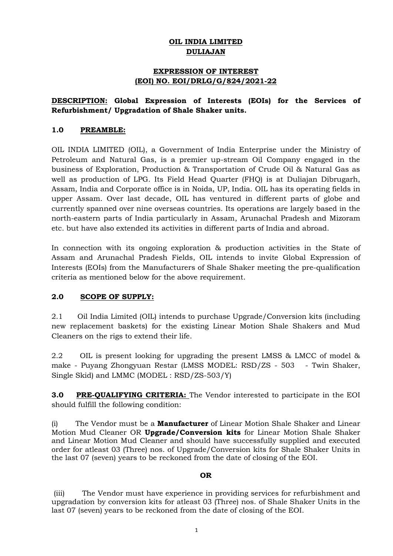# **OIL INDIA LIMITED DULIAJAN**

# **EXPRESSION OF INTEREST (EOI) NO. EOI/DRLG/G/824/2021-22**

# **DESCRIPTION: Global Expression of Interests (EOIs) for the Services of Refurbishment/ Upgradation of Shale Shaker units.**

## **1.0 PREAMBLE:**

OIL INDIA LIMITED (OIL), a Government of India Enterprise under the Ministry of Petroleum and Natural Gas, is a premier up-stream Oil Company engaged in the business of Exploration, Production & Transportation of Crude Oil & Natural Gas as well as production of LPG. Its Field Head Quarter (FHQ) is at Duliajan Dibrugarh, Assam, India and Corporate office is in Noida, UP, India. OIL has its operating fields in upper Assam. Over last decade, OIL has ventured in different parts of globe and currently spanned over nine overseas countries. Its operations are largely based in the north-eastern parts of India particularly in Assam, Arunachal Pradesh and Mizoram etc. but have also extended its activities in different parts of India and abroad.

In connection with its ongoing exploration & production activities in the State of Assam and Arunachal Pradesh Fields, OIL intends to invite Global Expression of Interests (EOIs) from the Manufacturers of Shale Shaker meeting the pre-qualification criteria as mentioned below for the above requirement.

## **2.0 SCOPE OF SUPPLY:**

2.1 Oil India Limited (OIL) intends to purchase Upgrade/Conversion kits (including new replacement baskets) for the existing Linear Motion Shale Shakers and Mud Cleaners on the rigs to extend their life.

2.2 OIL is present looking for upgrading the present LMSS & LMCC of model & make - Puyang Zhongyuan Restar (LMSS MODEL: RSD/ZS - 503 - Twin Shaker, Single Skid) and LMMC (MODEL : RSD/ZS-503/Y)

**3.0 PRE-QUALIFYING CRITERIA:** The Vendor interested to participate in the EOI should fulfill the following condition:

(i) The Vendor must be a **Manufacturer** of Linear Motion Shale Shaker and Linear Motion Mud Cleaner OR **Upgrade/Conversion kits** for Linear Motion Shale Shaker and Linear Motion Mud Cleaner and should have successfully supplied and executed order for atleast 03 (Three) nos. of Upgrade/Conversion kits for Shale Shaker Units in the last 07 (seven) years to be reckoned from the date of closing of the EOI.

## **OR**

(iii) The Vendor must have experience in providing services for refurbishment and upgradation by conversion kits for atleast 03 (Three) nos. of Shale Shaker Units in the last 07 (seven) years to be reckoned from the date of closing of the EOI.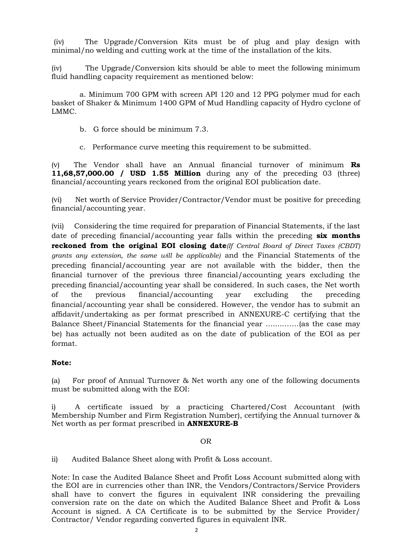(iv) The Upgrade/Conversion Kits must be of plug and play design with minimal/no welding and cutting work at the time of the installation of the kits.

(iv) The Upgrade/Conversion kits should be able to meet the following minimum fluid handling capacity requirement as mentioned below:

a. Minimum 700 GPM with screen API 120 and 12 PPG polymer mud for each basket of Shaker & Minimum 1400 GPM of Mud Handling capacity of Hydro cyclone of LMMC.

- b. G force should be minimum 7.3.
- c. Performance curve meeting this requirement to be submitted.

(v) The Vendor shall have an Annual financial turnover of minimum **Rs 11,68,57,000.00 / USD 1.55 Million** during any of the preceding 03 (three) financial/accounting years reckoned from the original EOI publication date.

(vi)Net worth of Service Provider/Contractor/Vendor must be positive for preceding financial/accounting year.

(vii)Considering the time required for preparation of Financial Statements, if the last date of preceding financial/accounting year falls within the preceding **six months reckoned from the original EOI closing date***(If Central Board of Direct Taxes (CBDT) grants any extension, the same will be applicable)* and the Financial Statements of the preceding financial/accounting year are not available with the bidder, then the financial turnover of the previous three financial/accounting years excluding the preceding financial/accounting year shall be considered. In such cases, the Net worth of the previous financial/accounting year excluding the preceding financial/accounting year shall be considered. However, the vendor has to submit an affidavit/undertaking as per format prescribed in ANNEXURE-C certifying that the Balance Sheet/Financial Statements for the financial year ….....……(as the case may be) has actually not been audited as on the date of publication of the EOI as per format.

## **Note:**

(a) For proof of Annual Turnover & Net worth any one of the following documents must be submitted along with the EOI:

i) A certificate issued by a practicing Chartered/Cost Accountant (with Membership Number and Firm Registration Number), certifying the Annual turnover & Net worth as per format prescribed in **ANNEXURE-B**

#### OR

ii) Audited Balance Sheet along with Profit & Loss account.

Note: In case the Audited Balance Sheet and Profit Loss Account submitted along with the EOI are in currencies other than INR, the Vendors/Contractors/Service Providers shall have to convert the figures in equivalent INR considering the prevailing conversion rate on the date on which the Audited Balance Sheet and Profit & Loss Account is signed. A CA Certificate is to be submitted by the Service Provider/ Contractor/ Vendor regarding converted figures in equivalent INR.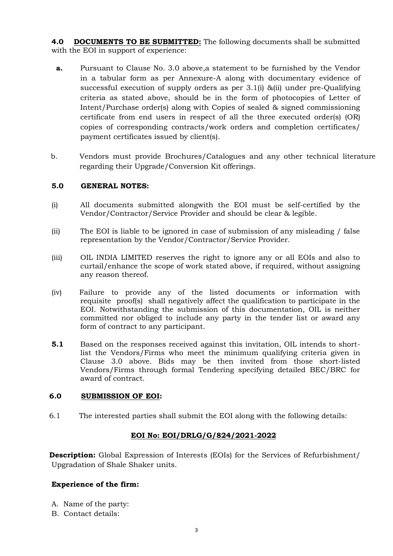**4.0 DOCUMENTS TO BE SUBMITTED:** The following documents shall be submitted with the EOI in support of experience:

- **a.** Pursuant to Clause No. 3.0 above,a statement to be furnished by the Vendor in a tabular form as per Annexure-A along with documentary evidence of successful execution of supply orders as per 3.1(i) &(ii) under pre-Qualifying criteria as stated above, should be in the form of photocopies of Letter of Intent/Purchase order(s) along with Copies of sealed & signed commissioning certificate from end users in respect of all the three executed order(s) (OR) copies of corresponding contracts/work orders and completion certificates/ payment certificates issued by client(s).
- b. Vendors must provide Brochures/Catalogues and any other technical literature regarding their Upgrade/Conversion Kit offerings.

## **5.0 GENERAL NOTES:**

- (i) All documents submitted alongwith the EOI must be self-certified by the Vendor/Contractor/Service Provider and should be clear & legible.
- (ii) The EOI is liable to be ignored in case of submission of any misleading / false representation by the Vendor/Contractor/Service Provider.
- (iii) OIL INDIA LIMITED reserves the right to ignore any or all EOIs and also to curtail/enhance the scope of work stated above, if required, without assigning any reason thereof.
- (iv) Failure to provide any of the listed documents or information with requisite proof(s) shall negatively affect the qualification to participate in the EOI. Notwithstanding the submission of this documentation, OIL is neither committed nor obliged to include any party in the tender list or award any form of contract to any participant.
- **5.1** Based on the responses received against this invitation, OIL intends to shortlist the Vendors/Firms who meet the minimum qualifying criteria given in Clause 3.0 above. Bids may be then invited from those short-listed Vendors/Firms through formal Tendering specifying detailed BEC/BRC for award of contract.

## **6.0 SUBMISSION OF EOI:**

6.1 The interested parties shall submit the EOI along with the following details:

## **EOI No: EOI/DRLG/G/824/2021-2022**

**Description:** Global Expression of Interests (EOIs) for the Services of Refurbishment/ Upgradation of Shale Shaker units.

## **Experience of the firm:**

- A. Name of the party:
- B. Contact details: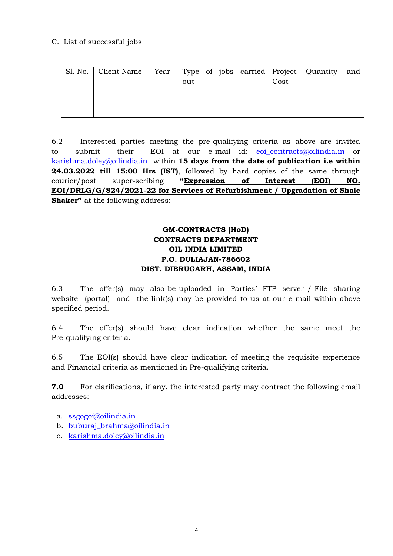# C. List of successful jobs

| Sl. No.   Client Name   Year   Type of jobs carried   Project Quantity and |     |  |      |  |
|----------------------------------------------------------------------------|-----|--|------|--|
|                                                                            | out |  | Cost |  |
|                                                                            |     |  |      |  |
|                                                                            |     |  |      |  |
|                                                                            |     |  |      |  |

6.2 Interested parties meeting the pre-qualifying criteria as above are invited to submit their EOI at our e-mail id: [eoi\\_contracts@oilindia.in](mailto:eoi_contracts@oilindia.in) or [karishma.doley@oilindia.in](mailto:karishma.doley@oilindia.in) within **15 days from the date of publication i.e within 24.03.2022 till 15:00 Hrs (IST)**, followed by hard copies of the same through courier/post super-scribing **"Expression of Interest (EOI) NO. EOI/DRLG/G/824/2021-22 for Services of Refurbishment / Upgradation of Shale Shaker"** at the following address:

# **GM-CONTRACTS (HoD) CONTRACTS DEPARTMENT OIL INDIA LIMITED P.O. DULIAJAN-786602 DIST. DIBRUGARH, ASSAM, INDIA**

6.3 The offer(s) may also be uploaded in Parties' FTP server / File sharing website (portal) and the link(s) may be provided to us at our e-mail within above specified period.

6.4 The offer(s) should have clear indication whether the same meet the Pre-qualifying criteria.

6.5 The EOI(s) should have clear indication of meeting the requisite experience and Financial criteria as mentioned in Pre-qualifying criteria.

**7.0** For clarifications, if any, the interested party may contract the following email addresses:

- a. [ssgogoi@oilindia.in](mailto:ssgogoi@oilindia.in)
- b. [buburaj\\_brahma@oilindia.in](mailto:buburaj_brahma@oilindia.in)
- c. [karishma.doley@oilindia.in](mailto:karishma.doley@oilindia.in)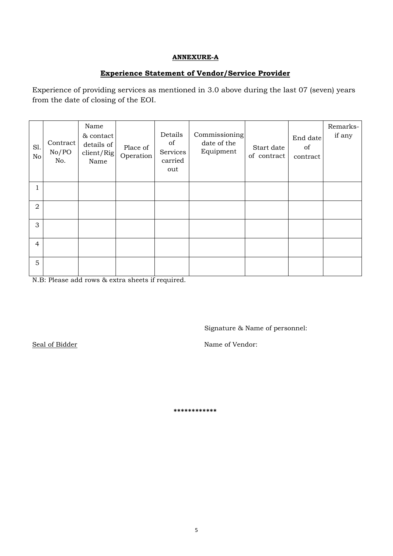## **ANNEXURE-A**

## **Experience Statement of Vendor/Service Provider**

Experience of providing services as mentioned in 3.0 above during the last 07 (seven) years from the date of closing of the EOI.

| S1.<br>No      | Contract<br>No/PO<br>No. | Name<br>& contact<br>details of<br>client/Rig<br>Name | Place of<br>Operation | Details<br>of<br>Services<br>carried<br>out | Commissioning<br>date of the<br>Equipment | Start date<br>of contract | End date<br>of<br>contract | Remarks-<br>if any |
|----------------|--------------------------|-------------------------------------------------------|-----------------------|---------------------------------------------|-------------------------------------------|---------------------------|----------------------------|--------------------|
| 1              |                          |                                                       |                       |                                             |                                           |                           |                            |                    |
| $\overline{a}$ |                          |                                                       |                       |                                             |                                           |                           |                            |                    |
| 3              |                          |                                                       |                       |                                             |                                           |                           |                            |                    |
| 4              |                          |                                                       |                       |                                             |                                           |                           |                            |                    |
| 5              |                          |                                                       |                       |                                             |                                           |                           |                            |                    |

N.B: Please add rows & extra sheets if required.

Signature & Name of personnel:

Seal of Bidder Name of Vendor:

**\*\*\*\*\*\*\*\*\*\*\*\***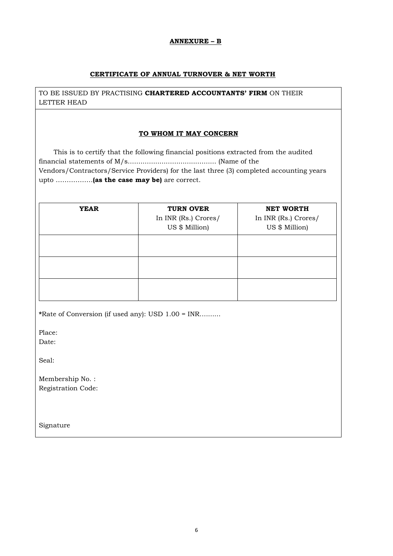#### **ANNEXURE – B**

#### **CERTIFICATE OF ANNUAL TURNOVER & NET WORTH**

TO BE ISSUED BY PRACTISING **CHARTERED ACCOUNTANTS' FIRM** ON THEIR LETTER HEAD

### **TO WHOM IT MAY CONCERN**

 This is to certify that the following financial positions extracted from the audited financial statements of M/s.......................................... (Name of the Vendors/Contractors/Service Providers) for the last three (3) completed accounting years upto ……………..**(as the case may be)** are correct.

| <b>YEAR</b> | <b>TURN OVER</b><br>In INR (Rs.) Crores/<br>US \$ Million) | <b>NET WORTH</b><br>In INR (Rs.) Crores/<br>US \$ Million) |  |  |
|-------------|------------------------------------------------------------|------------------------------------------------------------|--|--|
|             |                                                            |                                                            |  |  |
|             |                                                            |                                                            |  |  |
|             |                                                            |                                                            |  |  |

**\***Rate of Conversion (if used any): USD 1.00 = INR..........

Place: Date:

Seal:

Membership No. : Registration Code:

Signature